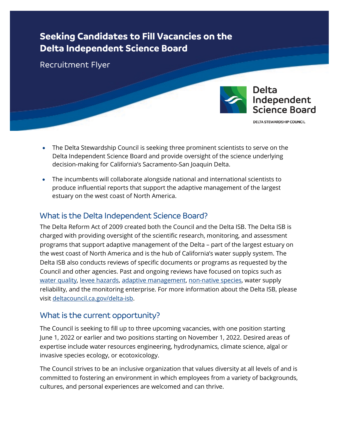# **Seeking Candidates to Fill Vacancies on the Delta Independent Science Board**

Recruitment Flyer



**DELTA STEWARDSHIP COUNCIL** 

- The Delta Stewardship Council is seeking three prominent scientists to serve on the Delta Independent Science Board and provide oversight of the science underlying decision-making for California's Sacramento-San Joaquin Delta.
- The incumbents will collaborate alongside national and international scientists to produce influential reports that support the adaptive management of the largest estuary on the west coast of North America.

# What is the Delta Independent Science Board?

The Delta Reform Act of 2009 created both the Council and the Delta ISB. The Delta ISB is charged with providing oversight of the scientific research, monitoring, and assessment programs that support adaptive management of the Delta – part of the largest estuary on the west coast of North America and is the hub of California's water supply system. The Delta ISB also conducts reviews of specific documents or programs as requested by the Council and other agencies. Past and ongoing reviews have focused on topics such as [water quality,](https://deltacouncil.ca.gov/pdf/isb/products/2018-07-26-isb-2018-water-quality-review.pdf) [levee hazards,](https://deltacouncil.ca.gov/pdf/isb/products/2016-09-30-isb-final-levee-workshop-report.pdf) [adaptive management,](https://deltacouncil.ca.gov/pdf/isb/products/2016-02-19-adaptive-management-report.pdf) [non-native species,](https://deltacouncil.ca.gov/pdf/isb/products/2021-05-21-isb-non-native-species-review.pdf) water supply reliability, and the monitoring enterprise. For more information about the Delta ISB, please visit [deltacouncil.ca.gov/delta-isb.](https://deltacouncil.ca.gov/delta-isb/)

### What is the current opportunity?

The Council is seeking to fill up to three upcoming vacancies, with one position starting June 1, 2022 or earlier and two positions starting on November 1, 2022. Desired areas of expertise include water resources engineering, hydrodynamics, climate science, algal or invasive species ecology, or ecotoxicology.

The Council strives to be an inclusive organization that values diversity at all levels of and is committed to fostering an environment in which employees from a variety of backgrounds, cultures, and personal experiences are welcomed and can thrive.